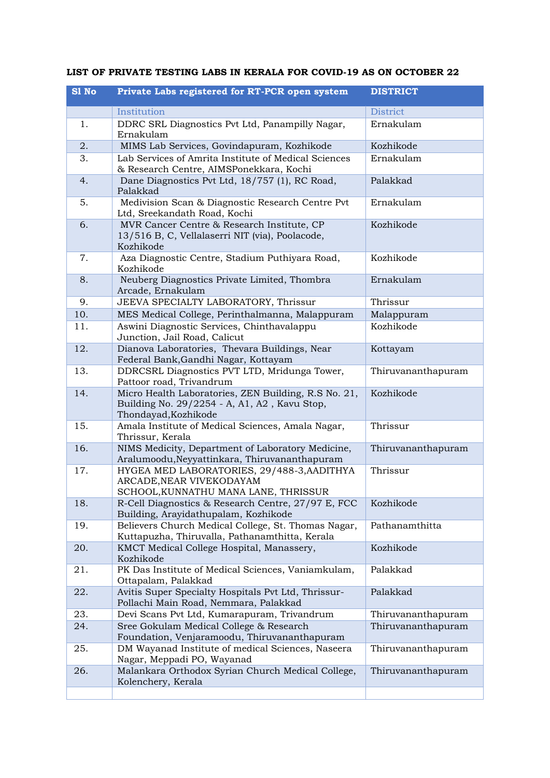| S1 No | Private Labs registered for RT-PCR open system                                                                               | <b>DISTRICT</b>    |
|-------|------------------------------------------------------------------------------------------------------------------------------|--------------------|
|       | Institution                                                                                                                  | <b>District</b>    |
| 1.    | DDRC SRL Diagnostics Pvt Ltd, Panampilly Nagar,<br>Ernakulam                                                                 | Ernakulam          |
| 2.    | MIMS Lab Services, Govindapuram, Kozhikode                                                                                   | Kozhikode          |
| 3.    | Lab Services of Amrita Institute of Medical Sciences<br>& Research Centre, AIMSPonekkara, Kochi                              | Ernakulam          |
| 4.    | Dane Diagnostics Pvt Ltd, 18/757 (1), RC Road,<br>Palakkad                                                                   | Palakkad           |
| 5.    | Medivision Scan & Diagnostic Research Centre Pvt<br>Ltd, Sreekandath Road, Kochi                                             | Ernakulam          |
| 6.    | MVR Cancer Centre & Research Institute, CP<br>13/516 B, C, Vellalaserri NIT (via), Poolacode,<br>Kozhikode                   | Kozhikode          |
| 7.    | Aza Diagnostic Centre, Stadium Puthiyara Road,<br>Kozhikode                                                                  | Kozhikode          |
| 8.    | Neuberg Diagnostics Private Limited, Thombra<br>Arcade, Ernakulam                                                            | Ernakulam          |
| 9.    | JEEVA SPECIALTY LABORATORY, Thrissur                                                                                         | Thrissur           |
| 10.   | MES Medical College, Perinthalmanna, Malappuram                                                                              | Malappuram         |
| 11.   | Aswini Diagnostic Services, Chinthavalappu<br>Junction, Jail Road, Calicut                                                   | Kozhikode          |
| 12.   | Dianova Laboratories, Thevara Buildings, Near<br>Federal Bank, Gandhi Nagar, Kottayam                                        | Kottayam           |
| 13.   | DDRCSRL Diagnostics PVT LTD, Mridunga Tower,<br>Pattoor road, Trivandrum                                                     | Thiruvananthapuram |
| 14.   | Micro Health Laboratories, ZEN Building, R.S No. 21,<br>Building No. 29/2254 - A, A1, A2, Kavu Stop,<br>Thondayad, Kozhikode | Kozhikode          |
| 15.   | Amala Institute of Medical Sciences, Amala Nagar,<br>Thrissur, Kerala                                                        | Thrissur           |
| 16.   | NIMS Medicity, Department of Laboratory Medicine,<br>Aralumoodu, Neyyattinkara, Thiruvananthapuram                           | Thiruvananthapuram |
| 17.   | HYGEA MED LABORATORIES, 29/488-3, AADITHYA<br>ARCADE, NEAR VIVEKODAYAM<br>SCHOOL, KUNNATHU MANA LANE, THRISSUR               | Thrissur           |
| 18.   | R-Cell Diagnostics & Research Centre, 27/97 E, FCC<br>Building, Arayidathupalam, Kozhikode                                   | Kozhikode          |
| 19.   | Believers Church Medical College, St. Thomas Nagar,<br>Kuttapuzha, Thiruvalla, Pathanamthitta, Kerala                        | Pathanamthitta     |
| 20.   | KMCT Medical College Hospital, Manassery,<br>Kozhikode                                                                       | Kozhikode          |
| 21.   | PK Das Institute of Medical Sciences, Vaniamkulam,<br>Ottapalam, Palakkad                                                    | Palakkad           |
| 22.   | Avitis Super Specialty Hospitals Pvt Ltd, Thrissur-<br>Pollachi Main Road, Nemmara, Palakkad                                 | Palakkad           |
| 23.   | Devi Scans Pvt Ltd, Kumarapuram, Trivandrum                                                                                  | Thiruvananthapuram |
| 24.   | Sree Gokulam Medical College & Research<br>Foundation, Venjaramoodu, Thiruvananthapuram                                      | Thiruvananthapuram |
| 25.   | DM Wayanad Institute of medical Sciences, Naseera<br>Nagar, Meppadi PO, Wayanad                                              | Thiruvananthapuram |
| 26.   | Malankara Orthodox Syrian Church Medical College,<br>Kolenchery, Kerala                                                      | Thiruvananthapuram |
|       |                                                                                                                              |                    |

## **LIST OF PRIVATE TESTING LABS IN KERALA FOR COVID-19 AS ON OCTOBER 22**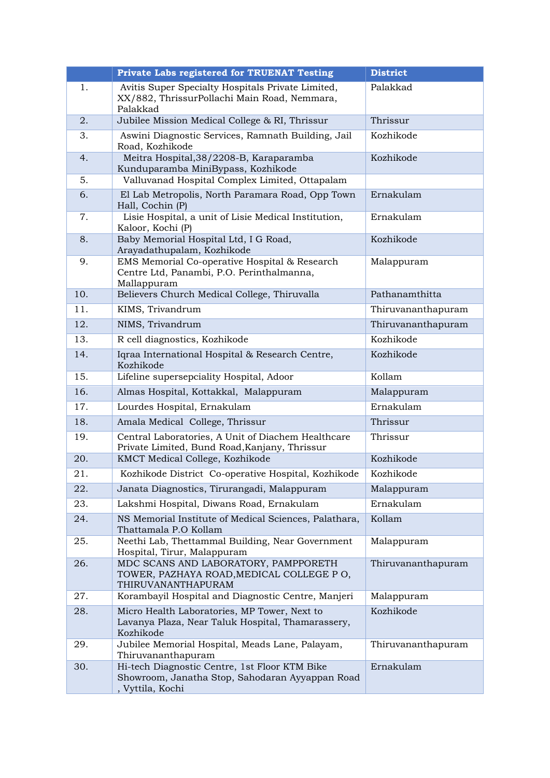|     | <b>Private Labs registered for TRUENAT Testing</b>                                                                   | <b>District</b>    |
|-----|----------------------------------------------------------------------------------------------------------------------|--------------------|
| 1.  | Avitis Super Specialty Hospitals Private Limited,<br>XX/882, ThrissurPollachi Main Road, Nemmara,<br>Palakkad        | Palakkad           |
| 2.  | Jubilee Mission Medical College & RI, Thrissur                                                                       | Thrissur           |
| 3.  | Aswini Diagnostic Services, Ramnath Building, Jail<br>Road, Kozhikode                                                | Kozhikode          |
| 4.  | Meitra Hospital, 38/2208-B, Karaparamba<br>Kunduparamba MiniBypass, Kozhikode                                        | Kozhikode          |
| 5.  | Valluvanad Hospital Complex Limited, Ottapalam                                                                       |                    |
| 6.  | El Lab Metropolis, North Paramara Road, Opp Town<br>Hall, Cochin (P)                                                 | Ernakulam          |
| 7.  | Lisie Hospital, a unit of Lisie Medical Institution,<br>Kaloor, Kochi (P)                                            | Ernakulam          |
| 8.  | Baby Memorial Hospital Ltd, I G Road,<br>Arayadathupalam, Kozhikode                                                  | Kozhikode          |
| 9.  | EMS Memorial Co-operative Hospital & Research<br>Centre Ltd, Panambi, P.O. Perinthalmanna,<br>Mallappuram            | Malappuram         |
| 10. | Believers Church Medical College, Thiruvalla                                                                         | Pathanamthitta     |
| 11. | KIMS, Trivandrum                                                                                                     | Thiruvananthapuram |
| 12. | NIMS, Trivandrum                                                                                                     | Thiruvananthapuram |
| 13. | R cell diagnostics, Kozhikode                                                                                        | Kozhikode          |
| 14. | Iqraa International Hospital & Research Centre,<br>Kozhikode                                                         | Kozhikode          |
| 15. | Lifeline supersepciality Hospital, Adoor                                                                             | Kollam             |
| 16. | Almas Hospital, Kottakkal, Malappuram                                                                                | Malappuram         |
| 17. | Lourdes Hospital, Ernakulam                                                                                          | Ernakulam          |
| 18. | Amala Medical College, Thrissur                                                                                      | Thrissur           |
| 19. | Central Laboratories, A Unit of Diachem Healthcare<br>Private Limited, Bund Road, Kanjany, Thrissur                  | Thrissur           |
| 20. | KMCT Medical College, Kozhikode                                                                                      | Kozhikode          |
| 21. | Kozhikode District Co-operative Hospital, Kozhikode                                                                  | Kozhikode          |
| 22. | Janata Diagnostics, Tirurangadi, Malappuram                                                                          | Malappuram         |
| 23. | Lakshmi Hospital, Diwans Road, Ernakulam                                                                             | Ernakulam          |
| 24. | NS Memorial Institute of Medical Sciences, Palathara,<br>Thattamala P.O Kollam                                       | Kollam             |
| 25. | Neethi Lab, Thettammal Building, Near Government<br>Hospital, Tirur, Malappuram                                      | Malappuram         |
| 26. | MDC SCANS AND LABORATORY, PAMPPORETH<br>TOWER, PAZHAYA ROAD, MEDICAL COLLEGE PO,<br>THIRUVANANTHAPURAM               | Thiruvananthapuram |
| 27. | Korambayil Hospital and Diagnostic Centre, Manjeri                                                                   | Malappuram         |
| 28. | Micro Health Laboratories, MP Tower, Next to<br>Lavanya Plaza, Near Taluk Hospital, Thamarassery,<br>Kozhikode       | Kozhikode          |
| 29. | Jubilee Memorial Hospital, Meads Lane, Palayam,<br>Thiruvananthapuram                                                | Thiruvananthapuram |
| 30. | Hi-tech Diagnostic Centre, 1st Floor KTM Bike<br>Showroom, Janatha Stop, Sahodaran Ayyappan Road<br>, Vyttila, Kochi | Ernakulam          |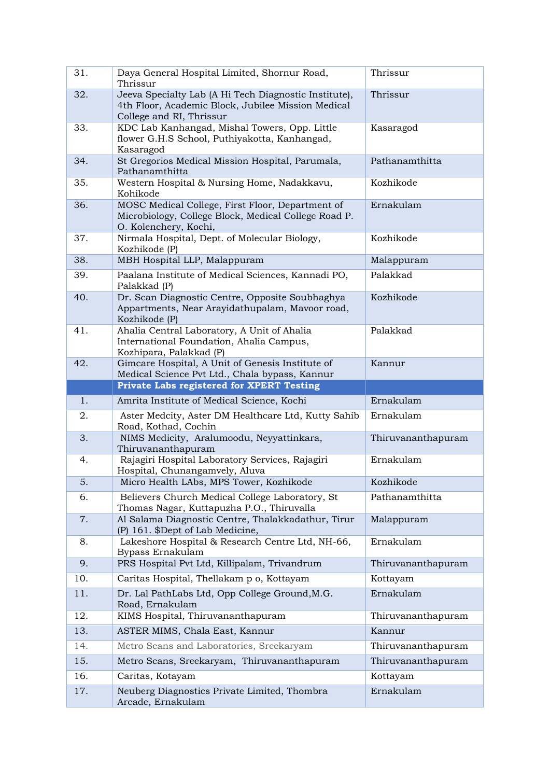| 31. | Daya General Hospital Limited, Shornur Road,<br>Thrissur                                                                                | Thrissur           |
|-----|-----------------------------------------------------------------------------------------------------------------------------------------|--------------------|
| 32. | Jeeva Specialty Lab (A Hi Tech Diagnostic Institute),<br>4th Floor, Academic Block, Jubilee Mission Medical<br>College and RI, Thrissur | Thrissur           |
| 33. | KDC Lab Kanhangad, Mishal Towers, Opp. Little<br>flower G.H.S School, Puthiyakotta, Kanhangad,<br>Kasaragod                             | Kasaragod          |
| 34. | St Gregorios Medical Mission Hospital, Parumala,<br>Pathanamthitta                                                                      | Pathanamthitta     |
| 35. | Western Hospital & Nursing Home, Nadakkavu,<br>Kohikode                                                                                 | Kozhikode          |
| 36. | MOSC Medical College, First Floor, Department of<br>Microbiology, College Block, Medical College Road P.<br>O. Kolenchery, Kochi,       | Ernakulam          |
| 37. | Nirmala Hospital, Dept. of Molecular Biology,<br>Kozhikode (P)                                                                          | Kozhikode          |
| 38. | MBH Hospital LLP, Malappuram                                                                                                            | Malappuram         |
| 39. | Paalana Institute of Medical Sciences, Kannadi PO,<br>Palakkad (P)                                                                      | Palakkad           |
| 40. | Dr. Scan Diagnostic Centre, Opposite Soubhaghya<br>Appartments, Near Arayidathupalam, Mavoor road,<br>Kozhikode (P)                     | Kozhikode          |
| 41. | Ahalia Central Laboratory, A Unit of Ahalia<br>International Foundation, Ahalia Campus,<br>Kozhipara, Palakkad (P)                      | Palakkad           |
| 42. | Gimcare Hospital, A Unit of Genesis Institute of<br>Medical Science Pvt Ltd., Chala bypass, Kannur                                      | Kannur             |
|     | Private Labs registered for XPERT Testing                                                                                               |                    |
|     |                                                                                                                                         |                    |
| 1.  | Amrita Institute of Medical Science, Kochi                                                                                              | Ernakulam          |
| 2.  | Aster Medcity, Aster DM Healthcare Ltd, Kutty Sahib<br>Road, Kothad, Cochin                                                             | Ernakulam          |
| 3.  | NIMS Medicity, Aralumoodu, Neyyattinkara,<br>Thiruvananthapuram                                                                         | Thiruvananthapuram |
| 4.  | Rajagiri Hospital Laboratory Services, Rajagiri<br>Hospital, Chunangamvely, Aluva                                                       | Ernakulam          |
| 5.  | Micro Health LAbs, MPS Tower, Kozhikode                                                                                                 | Kozhikode          |
| 6.  | Believers Church Medical College Laboratory, St<br>Thomas Nagar, Kuttapuzha P.O., Thiruvalla                                            | Pathanamthitta     |
| 7.  | Al Salama Diagnostic Centre, Thalakkadathur, Tirur<br>(P) 161. \$Dept of Lab Medicine,                                                  | Malappuram         |
| 8.  | Lakeshore Hospital & Research Centre Ltd, NH-66,<br>Bypass Ernakulam                                                                    | Ernakulam          |
| 9.  | PRS Hospital Pvt Ltd, Killipalam, Trivandrum                                                                                            | Thiruvananthapuram |
| 10. | Caritas Hospital, Thellakam p o, Kottayam                                                                                               | Kottayam           |
| 11. | Dr. Lal PathLabs Ltd, Opp College Ground, M.G.<br>Road, Ernakulam                                                                       | Ernakulam          |
| 12. | KIMS Hospital, Thiruvananthapuram                                                                                                       | Thiruvananthapuram |
| 13. | ASTER MIMS, Chala East, Kannur                                                                                                          | Kannur             |
| 14. | Metro Scans and Laboratories, Sreekaryam                                                                                                | Thiruvananthapuram |
| 15. | Metro Scans, Sreekaryam, Thiruvananthapuram                                                                                             | Thiruvananthapuram |
| 16. | Caritas, Kotayam                                                                                                                        | Kottayam           |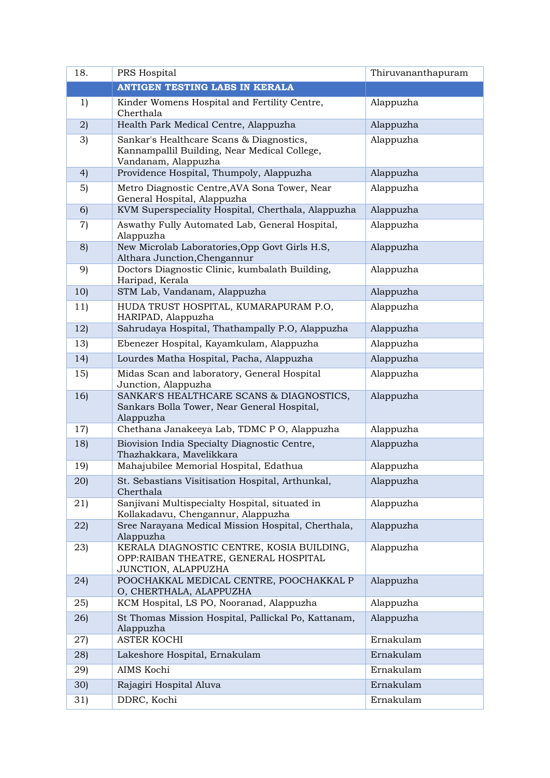| 18.             | PRS Hospital                                                                                                    | Thiruvananthapuram |
|-----------------|-----------------------------------------------------------------------------------------------------------------|--------------------|
|                 | <b>ANTIGEN TESTING LABS IN KERALA</b>                                                                           |                    |
| 1)              | Kinder Womens Hospital and Fertility Centre,<br>Cherthala                                                       | Alappuzha          |
| 2)              | Health Park Medical Centre, Alappuzha                                                                           | Alappuzha          |
| 3)              | Sankar's Healthcare Scans & Diagnostics,<br>Kannampallil Building, Near Medical College,<br>Vandanam, Alappuzha | Alappuzha          |
| 4)              | Providence Hospital, Thumpoly, Alappuzha                                                                        | Alappuzha          |
| 5)              | Metro Diagnostic Centre, AVA Sona Tower, Near<br>General Hospital, Alappuzha                                    | Alappuzha          |
| 6)              | KVM Superspeciality Hospital, Cherthala, Alappuzha                                                              | Alappuzha          |
| 7)              | Aswathy Fully Automated Lab, General Hospital,<br>Alappuzha                                                     | Alappuzha          |
| 8)              | New Microlab Laboratories, Opp Govt Girls H.S,<br>Althara Junction, Chengannur                                  | Alappuzha          |
| 9)              | Doctors Diagnostic Clinic, kumbalath Building,<br>Haripad, Kerala                                               | Alappuzha          |
| 10)             | STM Lab, Vandanam, Alappuzha                                                                                    | Alappuzha          |
| 11)             | HUDA TRUST HOSPITAL, KUMARAPURAM P.O,<br>HARIPAD, Alappuzha                                                     | Alappuzha          |
| 12)             | Sahrudaya Hospital, Thathampally P.O, Alappuzha                                                                 | Alappuzha          |
| 13)             | Ebenezer Hospital, Kayamkulam, Alappuzha                                                                        | Alappuzha          |
| 14)             | Lourdes Matha Hospital, Pacha, Alappuzha                                                                        | Alappuzha          |
| 15)             | Midas Scan and laboratory, General Hospital<br>Junction, Alappuzha                                              | Alappuzha          |
| 16)             | SANKAR'S HEALTHCARE SCANS & DIAGNOSTICS,<br>Sankars Bolla Tower, Near General Hospital,<br>Alappuzha            | Alappuzha          |
| 17)             | Chethana Janakeeya Lab, TDMC P O, Alappuzha                                                                     | Alappuzha          |
| 18)             | Biovision India Specialty Diagnostic Centre,<br>Thazhakkara, Mavelikkara                                        | Alappuzha          |
| 19)             | Mahajubilee Memorial Hospital, Edathua                                                                          | Alappuzha          |
| 20)             | St. Sebastians Visitisation Hospital, Arthunkal,<br>Cherthala                                                   | Alappuzha          |
| (21)            | Sanjivani Multispecialty Hospital, situated in<br>Kollakadavu, Chengannur, Alappuzha                            | Alappuzha          |
| 22)             | Sree Narayana Medical Mission Hospital, Cherthala,<br>Alappuzha                                                 | Alappuzha          |
| 23)             | KERALA DIAGNOSTIC CENTRE, KOSIA BUILDING,<br>OPP: RAIBAN THEATRE, GENERAL HOSPITAL<br>JUNCTION, ALAPPUZHA       | Alappuzha          |
| (24)            | POOCHAKKAL MEDICAL CENTRE, POOCHAKKAL P<br>O, CHERTHALA, ALAPPUZHA                                              | Alappuzha          |
| (25)            | KCM Hospital, LS PO, Nooranad, Alappuzha                                                                        | Alappuzha          |
| 26)             | St Thomas Mission Hospital, Pallickal Po, Kattanam,<br>Alappuzha                                                | Alappuzha          |
| 27)             | ASTER KOCHI                                                                                                     | Ernakulam          |
| 28)             | Lakeshore Hospital, Ernakulam                                                                                   | Ernakulam          |
| 29)             | AIMS Kochi                                                                                                      | Ernakulam          |
| 30 <sub>l</sub> | Rajagiri Hospital Aluva                                                                                         | Ernakulam          |
| 31)             | DDRC, Kochi                                                                                                     | Ernakulam          |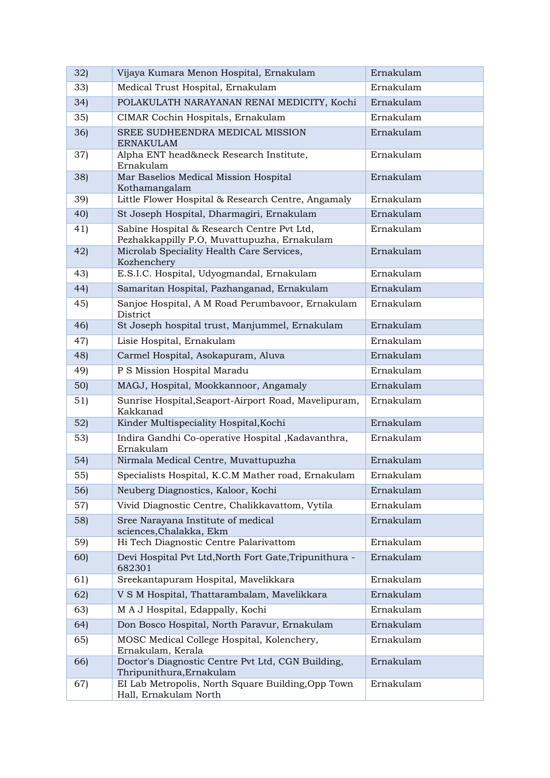| 32) | Vijaya Kumara Menon Hospital, Ernakulam                                                   | Ernakulam |
|-----|-------------------------------------------------------------------------------------------|-----------|
| 33) | Medical Trust Hospital, Ernakulam                                                         | Ernakulam |
| 34) | POLAKULATH NARAYANAN RENAI MEDICITY, Kochi                                                | Ernakulam |
| 35  | CIMAR Cochin Hospitals, Ernakulam                                                         | Ernakulam |
| 36) | SREE SUDHEENDRA MEDICAL MISSION<br><b>ERNAKULAM</b>                                       | Ernakulam |
| 37) | Alpha ENT head&neck Research Institute,<br>Ernakulam                                      | Ernakulam |
| 38) | Mar Baselios Medical Mission Hospital<br>Kothamangalam                                    | Ernakulam |
| 39) | Little Flower Hospital & Research Centre, Angamaly                                        | Ernakulam |
| 40  | St Joseph Hospital, Dharmagiri, Ernakulam                                                 | Ernakulam |
| 41) | Sabine Hospital & Research Centre Pvt Ltd,<br>Pezhakkappilly P.O, Muvattupuzha, Ernakulam | Ernakulam |
| 42) | Microlab Speciality Health Care Services,<br>Kozhenchery                                  | Ernakulam |
| 43) | E.S.I.C. Hospital, Udyogmandal, Ernakulam                                                 | Ernakulam |
| 44) | Samaritan Hospital, Pazhanganad, Ernakulam                                                | Ernakulam |
| 45) | Sanjoe Hospital, A M Road Perumbavoor, Ernakulam<br>District                              | Ernakulam |
| 46) | St Joseph hospital trust, Manjummel, Ernakulam                                            | Ernakulam |
| 47) | Lisie Hospital, Ernakulam                                                                 | Ernakulam |
| 48) | Carmel Hospital, Asokapuram, Aluva                                                        | Ernakulam |
| 49) | P S Mission Hospital Maradu                                                               | Ernakulam |
| 50) | MAGJ, Hospital, Mookkannoor, Angamaly                                                     | Ernakulam |
| 51) | Sunrise Hospital, Seaport-Airport Road, Mavelipuram,<br>Kakkanad                          | Ernakulam |
| 52) | Kinder Multispeciality Hospital, Kochi                                                    | Ernakulam |
| 53) | Indira Gandhi Co-operative Hospital , Kadavanthra,<br>Ernakulam                           | Ernakulam |
| 54) | Nirmala Medical Centre, Muvattupuzha                                                      | Ernakulam |
| 55) | Specialists Hospital, K.C.M Mather road, Ernakulam                                        | Ernakulam |
| 56) | Neuberg Diagnostics, Kaloor, Kochi                                                        | Ernakulam |
| 57) | Vivid Diagnostic Centre, Chalikkavattom, Vytila                                           | Ernakulam |
| 58) | Sree Narayana Institute of medical<br>sciences, Chalakka, Ekm                             | Ernakulam |
| 59) | Hi Tech Diagnostic Centre Palarivattom                                                    | Ernakulam |
| 60) | Devi Hospital Pvt Ltd, North Fort Gate, Tripunithura -<br>682301                          | Ernakulam |
| 61) | Sreekantapuram Hospital, Mavelikkara                                                      | Ernakulam |
| 62) | V S M Hospital, Thattarambalam, Mavelikkara                                               | Ernakulam |
| 63) | M A J Hospital, Edappally, Kochi                                                          | Ernakulam |
| 64) | Don Bosco Hospital, North Paravur, Ernakulam                                              | Ernakulam |
| 65) | MOSC Medical College Hospital, Kolenchery,<br>Ernakulam, Kerala                           | Ernakulam |
| 66) | Doctor's Diagnostic Centre Pvt Ltd, CGN Building,<br>Thripunithura, Ernakulam             | Ernakulam |
| 67) | EI Lab Metropolis, North Square Building, Opp Town<br>Hall, Ernakulam North               | Ernakulam |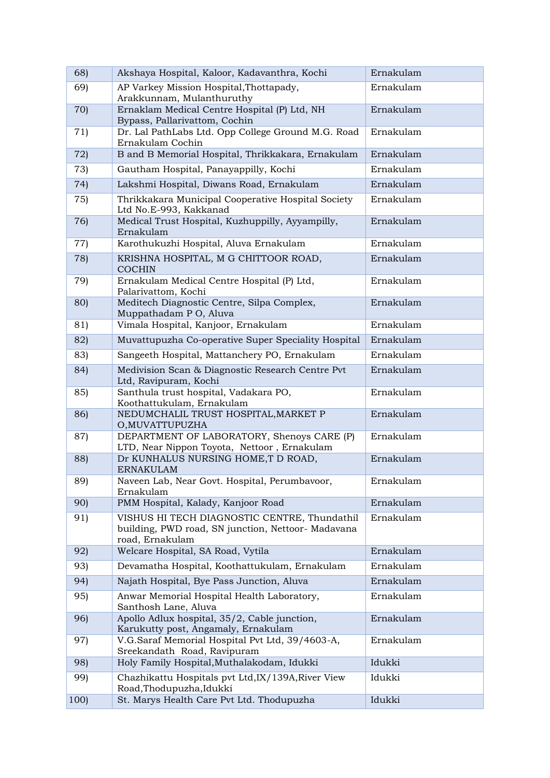| 68)  | Akshaya Hospital, Kaloor, Kadavanthra, Kochi                                                                          | Ernakulam |
|------|-----------------------------------------------------------------------------------------------------------------------|-----------|
| 69)  | AP Varkey Mission Hospital, Thottapady,<br>Arakkunnam, Mulanthuruthy                                                  | Ernakulam |
| 70)  | Ernaklam Medical Centre Hospital (P) Ltd, NH<br>Bypass, Pallarivattom, Cochin                                         | Ernakulam |
| 71)  | Dr. Lal PathLabs Ltd. Opp College Ground M.G. Road<br>Ernakulam Cochin                                                | Ernakulam |
| 72)  | B and B Memorial Hospital, Thrikkakara, Ernakulam                                                                     | Ernakulam |
| 73)  | Gautham Hospital, Panayappilly, Kochi                                                                                 | Ernakulam |
| 74)  | Lakshmi Hospital, Diwans Road, Ernakulam                                                                              | Ernakulam |
| 75)  | Thrikkakara Municipal Cooperative Hospital Society<br>Ltd No.E-993, Kakkanad                                          | Ernakulam |
| 76)  | Medical Trust Hospital, Kuzhuppilly, Ayyampilly,<br>Ernakulam                                                         | Ernakulam |
| 77)  | Karothukuzhi Hospital, Aluva Ernakulam                                                                                | Ernakulam |
| 78)  | KRISHNA HOSPITAL, M G CHITTOOR ROAD,<br><b>COCHIN</b>                                                                 | Ernakulam |
| 79)  | Ernakulam Medical Centre Hospital (P) Ltd,<br>Palarivattom, Kochi                                                     | Ernakulam |
| 80)  | Meditech Diagnostic Centre, Silpa Complex,<br>Muppathadam PO, Aluva                                                   | Ernakulam |
| 81)  | Vimala Hospital, Kanjoor, Ernakulam                                                                                   | Ernakulam |
| 82)  | Muvattupuzha Co-operative Super Speciality Hospital                                                                   | Ernakulam |
| 83)  | Sangeeth Hospital, Mattanchery PO, Ernakulam                                                                          | Ernakulam |
| 84)  | Medivision Scan & Diagnostic Research Centre Pvt<br>Ltd, Ravipuram, Kochi                                             | Ernakulam |
| 85)  | Santhula trust hospital, Vadakara PO,<br>Koothattukulam, Ernakulam                                                    | Ernakulam |
| 86)  | NEDUMCHALIL TRUST HOSPITAL, MARKET P<br>O, MUVATTUPUZHA                                                               | Ernakulam |
| 87)  | DEPARTMENT OF LABORATORY, Shenoys CARE (P)<br>LTD, Near Nippon Toyota, Nettoor, Ernakulam                             | Ernakulam |
| 88)  | Dr KUNHALUS NURSING HOME, T D ROAD,<br><b>ERNAKULAM</b>                                                               | Ernakulam |
| 89)  | Naveen Lab, Near Govt. Hospital, Perumbavoor,<br>Ernakulam                                                            | Ernakulam |
| 90)  | PMM Hospital, Kalady, Kanjoor Road                                                                                    | Ernakulam |
| 91)  | VISHUS HI TECH DIAGNOSTIC CENTRE, Thundathil<br>building, PWD road, SN junction, Nettoor- Madavana<br>road, Ernakulam | Ernakulam |
| 92)  | Welcare Hospital, SA Road, Vytila                                                                                     | Ernakulam |
| 93)  | Devamatha Hospital, Koothattukulam, Ernakulam                                                                         | Ernakulam |
| 94)  | Najath Hospital, Bye Pass Junction, Aluva                                                                             | Ernakulam |
| 95)  | Anwar Memorial Hospital Health Laboratory,<br>Santhosh Lane, Aluva                                                    | Ernakulam |
| 96)  | Apollo Adlux hospital, 35/2, Cable junction,<br>Karukutty post, Angamaly, Ernakulam                                   | Ernakulam |
| 97)  | V.G.Saraf Memorial Hospital Pvt Ltd, 39/4603-A,<br>Sreekandath Road, Ravipuram                                        | Ernakulam |
| 98)  | Holy Family Hospital, Muthalakodam, Idukki                                                                            | Idukki    |
| 99)  | Chazhikattu Hospitals pvt Ltd, IX/139A, River View<br>Road, Thodupuzha, Idukki                                        | Idukki    |
| 100) | St. Marys Health Care Pvt Ltd. Thodupuzha                                                                             | Idukki    |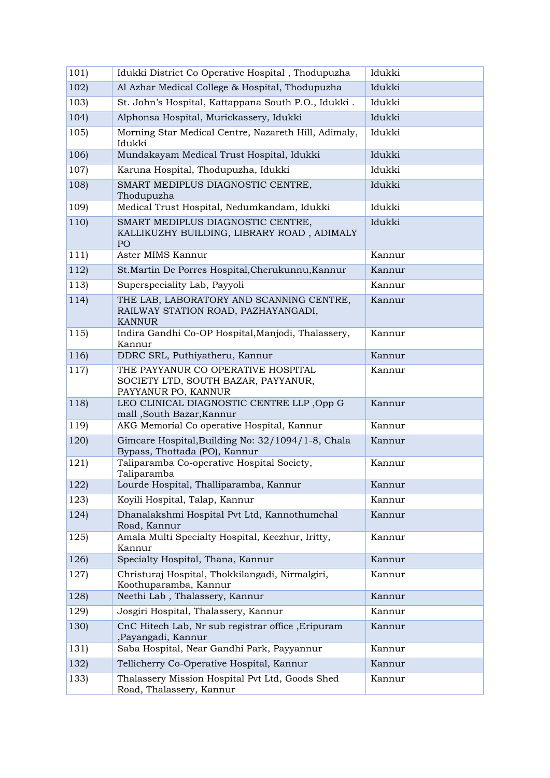| 101) | Idukki District Co Operative Hospital, Thodupuzha                                                  | Idukki |
|------|----------------------------------------------------------------------------------------------------|--------|
| 102  | Al Azhar Medical College & Hospital, Thodupuzha                                                    | Idukki |
| 103) | St. John's Hospital, Kattappana South P.O., Idukki.                                                | Idukki |
| 104) | Alphonsa Hospital, Murickassery, Idukki                                                            | Idukki |
| 105) | Morning Star Medical Centre, Nazareth Hill, Adimaly,<br>Idukki                                     | Idukki |
| 106) | Mundakayam Medical Trust Hospital, Idukki                                                          | Idukki |
| 107) | Karuna Hospital, Thodupuzha, Idukki                                                                | Idukki |
| 108) | SMART MEDIPLUS DIAGNOSTIC CENTRE,<br>Thodupuzha                                                    | Idukki |
| 109) | Medical Trust Hospital, Nedumkandam, Idukki                                                        | Idukki |
| 110) | SMART MEDIPLUS DIAGNOSTIC CENTRE,<br>KALLIKUZHY BUILDING, LIBRARY ROAD, ADIMALY<br>PO <sub>1</sub> | Idukki |
| 111) | Aster MIMS Kannur                                                                                  | Kannur |
| 112) | St. Martin De Porres Hospital, Cherukunnu, Kannur                                                  | Kannur |
| 113) | Superspeciality Lab, Payyoli                                                                       | Kannur |
| 114) | THE LAB, LABORATORY AND SCANNING CENTRE,<br>RAILWAY STATION ROAD, PAZHAYANGADI,<br><b>KANNUR</b>   | Kannur |
| 115  | Indira Gandhi Co-OP Hospital, Manjodi, Thalassery,<br>Kannur                                       | Kannur |
| 116) | DDRC SRL, Puthiyatheru, Kannur                                                                     | Kannur |
| 117) | THE PAYYANUR CO OPERATIVE HOSPITAL<br>SOCIETY LTD, SOUTH BAZAR, PAYYANUR,<br>PAYYANUR PO, KANNUR   | Kannur |
| 118) | LEO CLINICAL DIAGNOSTIC CENTRE LLP, Opp G<br>mall, South Bazar, Kannur                             | Kannur |
| 119) | AKG Memorial Co operative Hospital, Kannur                                                         | Kannur |
| 120) | Gimcare Hospital, Building No: 32/1094/1-8, Chala<br>Bypass, Thottada (PO), Kannur                 | Kannur |
| 121) | Taliparamba Co-operative Hospital Society,<br>Taliparamba                                          | Kannur |
| 122) | Lourde Hospital, Thalliparamba, Kannur                                                             | Kannur |
| 123) | Koyili Hospital, Talap, Kannur                                                                     | Kannur |
| 124) | Dhanalakshmi Hospital Pvt Ltd, Kannothumchal<br>Road, Kannur                                       | Kannur |
| 125) | Amala Multi Specialty Hospital, Keezhur, Iritty,<br>Kannur                                         | Kannur |
| 126) | Specialty Hospital, Thana, Kannur                                                                  | Kannur |
| 127) | Christuraj Hospital, Thokkilangadi, Nirmalgiri,<br>Koothuparamba, Kannur                           | Kannur |
| 128) | Neethi Lab, Thalassery, Kannur                                                                     | Kannur |
| 129) | Josgiri Hospital, Thalassery, Kannur                                                               | Kannur |
| 130) | CnC Hitech Lab, Nr sub registrar office, Eripuram<br>,Payangadi, Kannur                            | Kannur |
| 131) | Saba Hospital, Near Gandhi Park, Payyannur                                                         | Kannur |
| 132) | Tellicherry Co-Operative Hospital, Kannur                                                          | Kannur |
| 133) | Thalassery Mission Hospital Pvt Ltd, Goods Shed<br>Road, Thalassery, Kannur                        | Kannur |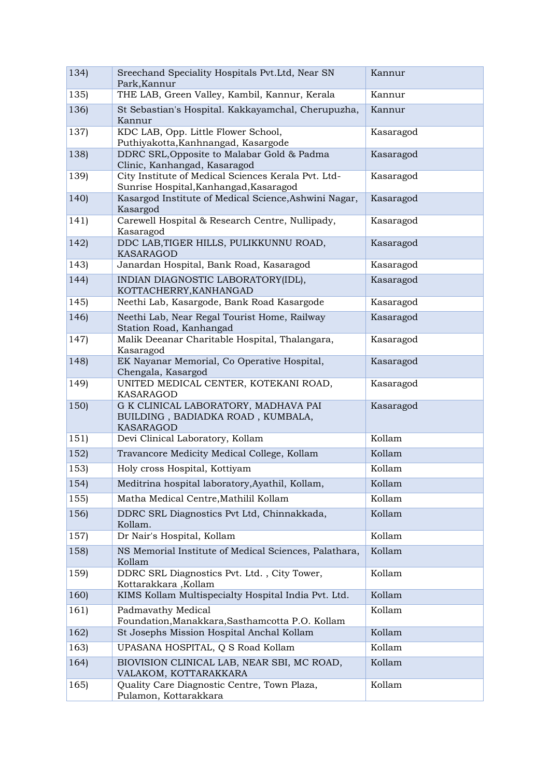| 134) | Sreechand Speciality Hospitals Pvt.Ltd, Near SN<br>Park, Kannur                               | Kannur    |
|------|-----------------------------------------------------------------------------------------------|-----------|
| 135) | THE LAB, Green Valley, Kambil, Kannur, Kerala                                                 | Kannur    |
| 136) | St Sebastian's Hospital. Kakkayamchal, Cherupuzha,<br>Kannur                                  | Kannur    |
| 137) | KDC LAB, Opp. Little Flower School,<br>Puthiyakotta, Kanhnangad, Kasargode                    | Kasaragod |
| 138) | DDRC SRL, Opposite to Malabar Gold & Padma<br>Clinic, Kanhangad, Kasaragod                    | Kasaragod |
| 139) | City Institute of Medical Sciences Kerala Pvt. Ltd-<br>Sunrise Hospital, Kanhangad, Kasaragod | Kasaragod |
| 140) | Kasargod Institute of Medical Science, Ashwini Nagar,<br>Kasargod                             | Kasaragod |
| 141) | Carewell Hospital & Research Centre, Nullipady,<br>Kasaragod                                  | Kasaragod |
| 142) | DDC LAB, TIGER HILLS, PULIKKUNNU ROAD,<br>KASARAGOD                                           | Kasaragod |
| 143) | Janardan Hospital, Bank Road, Kasaragod                                                       | Kasaragod |
| 144) | INDIAN DIAGNOSTIC LABORATORY(IDL),<br>KOTTACHERRY, KANHANGAD                                  | Kasaragod |
| 145) | Neethi Lab, Kasargode, Bank Road Kasargode                                                    | Kasaragod |
| 146) | Neethi Lab, Near Regal Tourist Home, Railway<br>Station Road, Kanhangad                       | Kasaragod |
| 147) | Malik Deeanar Charitable Hospital, Thalangara,<br>Kasaragod                                   | Kasaragod |
| 148) | EK Nayanar Memorial, Co Operative Hospital,<br>Chengala, Kasargod                             | Kasaragod |
| 149) | UNITED MEDICAL CENTER, KOTEKANI ROAD,<br>KASARAGOD                                            | Kasaragod |
| 150) | G K CLINICAL LABORATORY, MADHAVA PAI<br>BUILDING, BADIADKA ROAD, KUMBALA,<br>KASARAGOD        | Kasaragod |
| 151) | Devi Clinical Laboratory, Kollam                                                              | Kollam    |
| 152) | Travancore Medicity Medical College, Kollam                                                   | Kollam    |
| 153) | Holy cross Hospital, Kottiyam                                                                 | Kollam    |
| 154) | Meditrina hospital laboratory, Ayathil, Kollam,                                               | Kollam    |
| 155  | Matha Medical Centre, Mathilil Kollam                                                         | Kollam    |
| 156) | DDRC SRL Diagnostics Pvt Ltd, Chinnakkada,<br>Kollam.                                         | Kollam    |
| 157) | Dr Nair's Hospital, Kollam                                                                    | Kollam    |
| 158) | NS Memorial Institute of Medical Sciences, Palathara,<br>Kollam                               | Kollam    |
| 159) | DDRC SRL Diagnostics Pvt. Ltd., City Tower,<br>Kottarakkara, Kollam                           | Kollam    |
| 160) | KIMS Kollam Multispecialty Hospital India Pvt. Ltd.                                           | Kollam    |
| 161) | Padmavathy Medical<br>Foundation, Manakkara, Sasthamcotta P.O. Kollam                         | Kollam    |
| 162) | St Josephs Mission Hospital Anchal Kollam                                                     | Kollam    |
| 163) | UPASANA HOSPITAL, Q S Road Kollam                                                             | Kollam    |
| 164) | BIOVISION CLINICAL LAB, NEAR SBI, MC ROAD,<br>VALAKOM, KOTTARAKKARA                           | Kollam    |
| 165) | Quality Care Diagnostic Centre, Town Plaza,<br>Pulamon, Kottarakkara                          | Kollam    |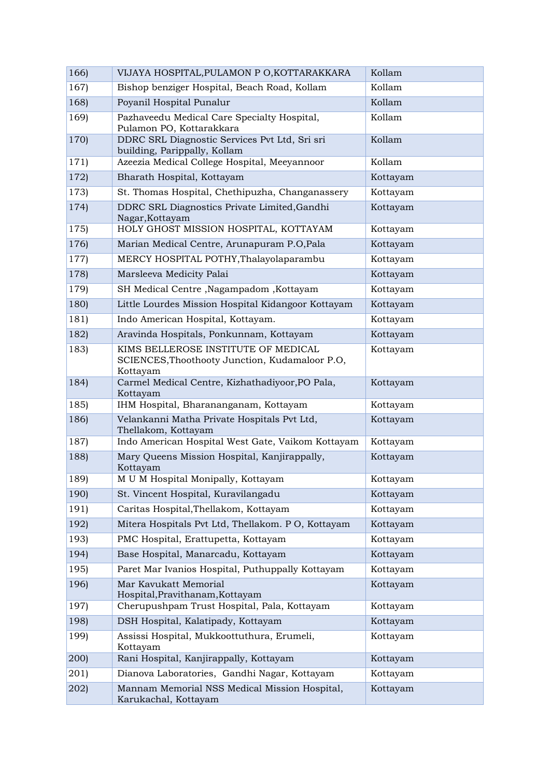| 166) | VIJAYA HOSPITAL, PULAMON P O, KOTTARAKKARA                                                        | Kollam   |
|------|---------------------------------------------------------------------------------------------------|----------|
| 167) | Bishop benziger Hospital, Beach Road, Kollam                                                      | Kollam   |
| 168) | Poyanil Hospital Punalur                                                                          | Kollam   |
| 169) | Pazhaveedu Medical Care Specialty Hospital,<br>Pulamon PO, Kottarakkara                           | Kollam   |
| 170) | DDRC SRL Diagnostic Services Pvt Ltd, Sri sri<br>building, Parippally, Kollam                     | Kollam   |
| 171) | Azeezia Medical College Hospital, Meeyannoor                                                      | Kollam   |
| 172) | Bharath Hospital, Kottayam                                                                        | Kottayam |
| 173) | St. Thomas Hospital, Chethipuzha, Changanassery                                                   | Kottayam |
| 174) | DDRC SRL Diagnostics Private Limited, Gandhi<br>Nagar, Kottayam                                   | Kottayam |
| 175) | HOLY GHOST MISSION HOSPITAL, KOTTAYAM                                                             | Kottayam |
| 176) | Marian Medical Centre, Arunapuram P.O, Pala                                                       | Kottayam |
| 177) | MERCY HOSPITAL POTHY, Thalayolaparambu                                                            | Kottayam |
| 178) | Marsleeva Medicity Palai                                                                          | Kottayam |
| 179) | SH Medical Centre, Nagampadom, Kottayam                                                           | Kottayam |
| 180) | Little Lourdes Mission Hospital Kidangoor Kottayam                                                | Kottayam |
| 181) | Indo American Hospital, Kottayam.                                                                 | Kottayam |
| 182) | Aravinda Hospitals, Ponkunnam, Kottayam                                                           | Kottayam |
| 183) | KIMS BELLEROSE INSTITUTE OF MEDICAL<br>SCIENCES, Thoothooty Junction, Kudamaloor P.O,<br>Kottayam | Kottayam |
| 184) | Carmel Medical Centre, Kizhathadiyoor, PO Pala,<br>Kottayam                                       | Kottayam |
| 185) | IHM Hospital, Bharananganam, Kottayam                                                             | Kottayam |
| 186) | Velankanni Matha Private Hospitals Pvt Ltd,<br>Thellakom, Kottayam                                | Kottayam |
| 187) | Indo American Hospital West Gate, Vaikom Kottayam                                                 | Kottayam |
| 188) | Mary Queens Mission Hospital, Kanjirappally,<br>Kottayam                                          | Kottayam |
| 189) | M U M Hospital Monipally, Kottayam                                                                | Kottavam |
| 190) | St. Vincent Hospital, Kuravilangadu                                                               | Kottayam |
| 191) | Caritas Hospital, Thellakom, Kottayam                                                             | Kottayam |
| 192) | Mitera Hospitals Pvt Ltd, Thellakom. PO, Kottayam                                                 | Kottayam |
| 193) | PMC Hospital, Erattupetta, Kottayam                                                               | Kottayam |
| 194) | Base Hospital, Manarcadu, Kottayam                                                                | Kottayam |
| 195) | Paret Mar Ivanios Hospital, Puthuppally Kottayam                                                  | Kottayam |
| 196) | Mar Kavukatt Memorial<br>Hospital, Pravithanam, Kottayam                                          | Kottayam |
| 197) | Cherupushpam Trust Hospital, Pala, Kottayam                                                       | Kottayam |
| 198) | DSH Hospital, Kalatipady, Kottayam                                                                | Kottayam |
| 199) | Assissi Hospital, Mukkoottuthura, Erumeli,<br>Kottayam                                            | Kottayam |
| 200) | Rani Hospital, Kanjirappally, Kottayam                                                            | Kottayam |
| 201) | Dianova Laboratories, Gandhi Nagar, Kottayam                                                      | Kottayam |
| 202) | Mannam Memorial NSS Medical Mission Hospital,<br>Karukachal, Kottayam                             | Kottayam |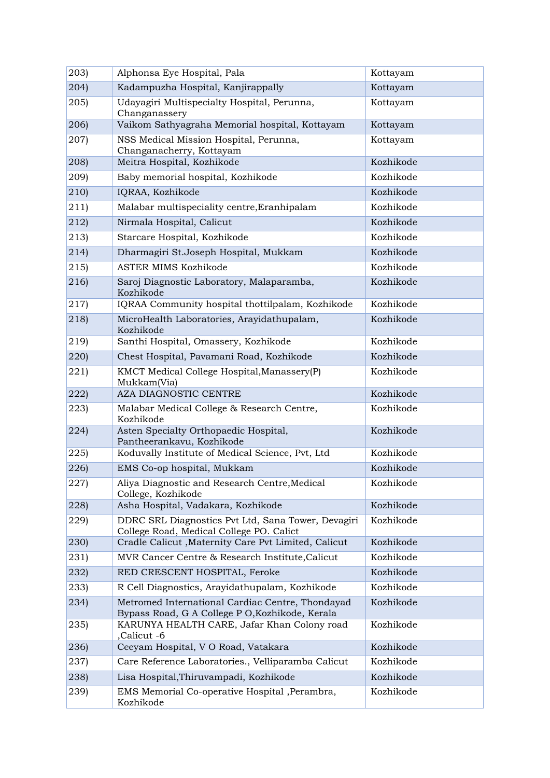| 203)          | Alphonsa Eye Hospital, Pala                                                                         | Kottayam  |
|---------------|-----------------------------------------------------------------------------------------------------|-----------|
| 204)          | Kadampuzha Hospital, Kanjirappally                                                                  | Kottayam  |
| 205           | Udayagiri Multispecialty Hospital, Perunna,<br>Changanassery                                        | Kottayam  |
| (206)         | Vaikom Sathyagraha Memorial hospital, Kottayam                                                      | Kottayam  |
| 207)          | NSS Medical Mission Hospital, Perunna,<br>Changanacherry, Kottayam                                  | Kottayam  |
| 208)          | Meitra Hospital, Kozhikode                                                                          | Kozhikode |
| 209)          | Baby memorial hospital, Kozhikode                                                                   | Kozhikode |
| (210)         | IQRAA, Kozhikode                                                                                    | Kozhikode |
| (211)         | Malabar multispeciality centre, Eranhipalam                                                         | Kozhikode |
| $ 212\rangle$ | Nirmala Hospital, Calicut                                                                           | Kozhikode |
| 213)          | Starcare Hospital, Kozhikode                                                                        | Kozhikode |
| (214)         | Dharmagiri St.Joseph Hospital, Mukkam                                                               | Kozhikode |
| 215)          | <b>ASTER MIMS Kozhikode</b>                                                                         | Kozhikode |
| (216)         | Saroj Diagnostic Laboratory, Malaparamba,<br>Kozhikode                                              | Kozhikode |
| (217)         | IQRAA Community hospital thottilpalam, Kozhikode                                                    | Kozhikode |
| (218)         | MicroHealth Laboratories, Arayidathupalam,<br>Kozhikode                                             | Kozhikode |
| (219)         | Santhi Hospital, Omassery, Kozhikode                                                                | Kozhikode |
| 220)          | Chest Hospital, Pavamani Road, Kozhikode                                                            | Kozhikode |
| 221)          | KMCT Medical College Hospital, Manassery(P)<br>Mukkam(Via)                                          | Kozhikode |
| 222)          | AZA DIAGNOSTIC CENTRE                                                                               | Kozhikode |
| 223)          | Malabar Medical College & Research Centre,<br>Kozhikode                                             | Kozhikode |
| 224           | Asten Specialty Orthopaedic Hospital,<br>Pantheerankavu, Kozhikode                                  | Kozhikode |
| 225)          | Koduvally Institute of Medical Science, Pvt, Ltd                                                    | Kozhikode |
| 226)          | EMS Co-op hospital, Mukkam                                                                          | Kozhikode |
| 227)          | Aliya Diagnostic and Research Centre, Medical<br>College, Kozhikode                                 | Kozhikode |
| 228)          | Asha Hospital, Vadakara, Kozhikode                                                                  | Kozhikode |
| 229)          | DDRC SRL Diagnostics Pvt Ltd, Sana Tower, Devagiri<br>College Road, Medical College PO. Calict      | Kozhikode |
| (230)         | Cradle Calicut , Maternity Care Pvt Limited, Calicut                                                | Kozhikode |
| 231)          | MVR Cancer Centre & Research Institute, Calicut                                                     | Kozhikode |
| 232)          | RED CRESCENT HOSPITAL, Feroke                                                                       | Kozhikode |
| 233)          | R Cell Diagnostics, Arayidathupalam, Kozhikode                                                      | Kozhikode |
| (234)         | Metromed International Cardiac Centre, Thondayad<br>Bypass Road, G A College P O, Kozhikode, Kerala | Kozhikode |
| 235           | KARUNYA HEALTH CARE, Jafar Khan Colony road<br>,Calicut -6                                          | Kozhikode |
| (236)         | Ceeyam Hospital, VO Road, Vatakara                                                                  | Kozhikode |
| 237)          | Care Reference Laboratories., Velliparamba Calicut                                                  | Kozhikode |
| (238)         | Lisa Hospital, Thiruvampadi, Kozhikode                                                              | Kozhikode |
| 239)          | EMS Memorial Co-operative Hospital , Perambra,<br>Kozhikode                                         | Kozhikode |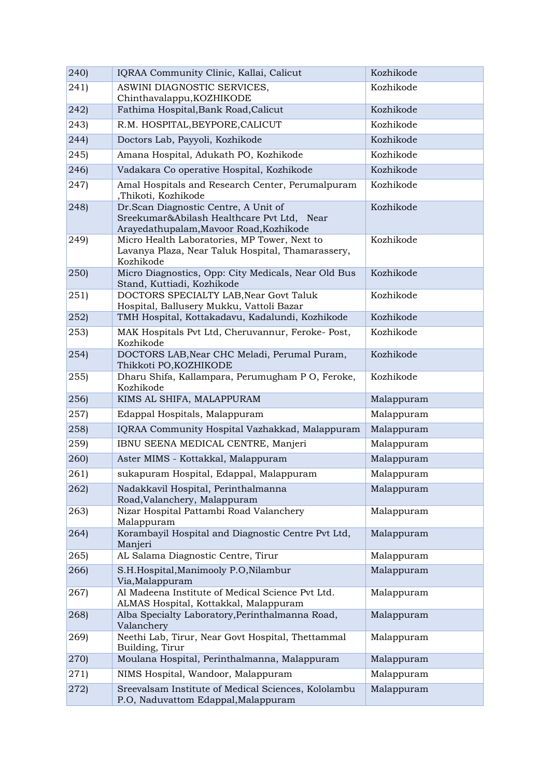| 240)           | IQRAA Community Clinic, Kallai, Calicut                                                                                       | Kozhikode                |
|----------------|-------------------------------------------------------------------------------------------------------------------------------|--------------------------|
| (241)          | ASWINI DIAGNOSTIC SERVICES,<br>Chinthavalappu, KOZHIKODE                                                                      | Kozhikode                |
| (242)          | Fathima Hospital, Bank Road, Calicut                                                                                          | Kozhikode                |
| 243)           | R.M. HOSPITAL, BEYPORE, CALICUT                                                                                               | Kozhikode                |
| (244)          | Doctors Lab, Payyoli, Kozhikode                                                                                               | Kozhikode                |
| 245)           | Amana Hospital, Adukath PO, Kozhikode                                                                                         | Kozhikode                |
| (246)          | Vadakara Co operative Hospital, Kozhikode                                                                                     | Kozhikode                |
| (247)          | Amal Hospitals and Research Center, Perumalpuram<br>,Thikoti, Kozhikode                                                       | Kozhikode                |
| (248)          | Dr.Scan Diagnostic Centre, A Unit of<br>Sreekumar&Abilash Healthcare Pvt Ltd, Near<br>Arayedathupalam, Mavoor Road, Kozhikode | Kozhikode                |
| (249)          | Micro Health Laboratories, MP Tower, Next to<br>Lavanya Plaza, Near Taluk Hospital, Thamarassery,<br>Kozhikode                | Kozhikode                |
| (250)          | Micro Diagnostics, Opp: City Medicals, Near Old Bus<br>Stand, Kuttiadi, Kozhikode                                             | Kozhikode                |
| (251)          | DOCTORS SPECIALTY LAB, Near Govt Taluk<br>Hospital, Ballusery Mukku, Vattoli Bazar                                            | Kozhikode                |
| 252            | TMH Hospital, Kottakadavu, Kadalundi, Kozhikode                                                                               | Kozhikode                |
| 253)           | MAK Hospitals Pvt Ltd, Cheruvannur, Feroke-Post,<br>Kozhikode                                                                 | Kozhikode                |
| 254            | DOCTORS LAB, Near CHC Meladi, Perumal Puram,<br>Thikkoti PO, KOZHIKODE                                                        | Kozhikode                |
| 255            | Dharu Shifa, Kallampara, Perumugham P O, Feroke,<br>Kozhikode                                                                 | Kozhikode                |
|                |                                                                                                                               |                          |
| 256            | KIMS AL SHIFA, MALAPPURAM                                                                                                     | Malappuram               |
| 257)           | Edappal Hospitals, Malappuram                                                                                                 | Malappuram               |
| (258)          | IQRAA Community Hospital Vazhakkad, Malappuram                                                                                | Malappuram               |
| 259)           | IBNU SEENA MEDICAL CENTRE, Manjeri                                                                                            | Malappuram               |
| (260)          | Aster MIMS - Kottakkal, Malappuram                                                                                            | Malappuram               |
| 261)           | sukapuram Hospital, Edappal, Malappuram                                                                                       | Malappuram               |
| 262)           | Nadakkavil Hospital, Perinthalmanna<br>Road, Valanchery, Malappuram                                                           | Malappuram               |
| 263)           | Nizar Hospital Pattambi Road Valanchery<br>Malappuram                                                                         | Malappuram               |
| (264)          | Korambayil Hospital and Diagnostic Centre Pvt Ltd,<br>Manjeri                                                                 | Malappuram               |
| 265)           | AL Salama Diagnostic Centre, Tirur                                                                                            | Malappuram               |
| 266)           | S.H.Hospital, Manimooly P.O, Nilambur<br>Via, Malappuram                                                                      | Malappuram               |
| 267)           | Al Madeena Institute of Medical Science Pvt Ltd.<br>ALMAS Hospital, Kottakkal, Malappuram                                     | Malappuram               |
| 268)           | Alba Specialty Laboratory, Perinthalmanna Road,<br>Valanchery                                                                 | Malappuram               |
| 269)           | Neethi Lab, Tirur, Near Govt Hospital, Thettammal<br>Building, Tirur                                                          | Malappuram               |
| 270)           | Moulana Hospital, Perinthalmanna, Malappuram                                                                                  | Malappuram               |
| (271)<br>(272) | NIMS Hospital, Wandoor, Malappuram<br>Sreevalsam Institute of Medical Sciences, Kololambu                                     | Malappuram<br>Malappuram |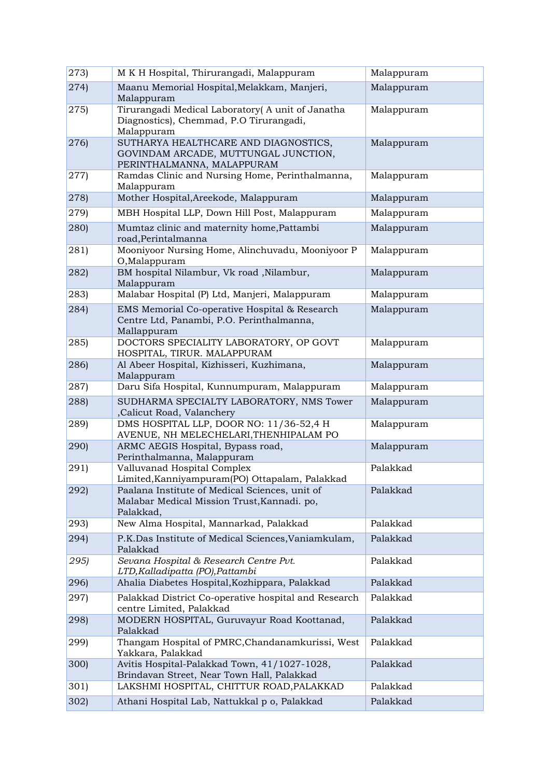| (273) | M K H Hospital, Thirurangadi, Malappuram                                                                   | Malappuram |
|-------|------------------------------------------------------------------------------------------------------------|------------|
| (274) | Maanu Memorial Hospital, Melakkam, Manjeri,<br>Malappuram                                                  | Malappuram |
| 275)  | Tirurangadi Medical Laboratory (A unit of Janatha<br>Diagnostics), Chemmad, P.O Tirurangadi,<br>Malappuram | Malappuram |
| 276)  | SUTHARYA HEALTHCARE AND DIAGNOSTICS,<br>GOVINDAM ARCADE, MUTTUNGAL JUNCTION,<br>PERINTHALMANNA, MALAPPURAM | Malappuram |
| 277)  | Ramdas Clinic and Nursing Home, Perinthalmanna,<br>Malappuram                                              | Malappuram |
| 278)  | Mother Hospital, Areekode, Malappuram                                                                      | Malappuram |
| 279)  | MBH Hospital LLP, Down Hill Post, Malappuram                                                               | Malappuram |
| 280)  | Mumtaz clinic and maternity home, Pattambi<br>road, Perintalmanna                                          | Malappuram |
| 281)  | Mooniyoor Nursing Home, Alinchuvadu, Mooniyoor P<br>O,Malappuram                                           | Malappuram |
| 282)  | BM hospital Nilambur, Vk road , Nilambur,<br>Malappuram                                                    | Malappuram |
| 283)  | Malabar Hospital (P) Ltd, Manjeri, Malappuram                                                              | Malappuram |
| 284)  | EMS Memorial Co-operative Hospital & Research<br>Centre Ltd, Panambi, P.O. Perinthalmanna,<br>Mallappuram  | Malappuram |
| 285)  | DOCTORS SPECIALITY LABORATORY, OP GOVT<br>HOSPITAL, TIRUR. MALAPPURAM                                      | Malappuram |
| 286)  | Al Abeer Hospital, Kizhisseri, Kuzhimana,<br>Malappuram                                                    | Malappuram |
| 287)  | Daru Sifa Hospital, Kunnumpuram, Malappuram                                                                | Malappuram |
| 288)  | SUDHARMA SPECIALTY LABORATORY, NMS Tower<br>,Calicut Road, Valanchery                                      | Malappuram |
| 289)  | DMS HOSPITAL LLP, DOOR NO: 11/36-52,4 H<br>AVENUE, NH MELECHELARI, THENHIPALAM PO                          | Malappuram |
| 290)  | ARMC AEGIS Hospital, Bypass road,<br>Perinthalmanna, Malappuram                                            | Malappuram |
| 291)  | Valluvanad Hospital Complex<br>Limited, Kanniyampuram(PO) Ottapalam, Palakkad                              | Palakkad   |
| (292) | Paalana Institute of Medical Sciences, unit of<br>Malabar Medical Mission Trust, Kannadi. po,<br>Palakkad, | Palakkad   |
| 293)  | New Alma Hospital, Mannarkad, Palakkad                                                                     | Palakkad   |
| 294)  | P.K.Das Institute of Medical Sciences, Vaniamkulam,<br>Palakkad                                            | Palakkad   |
| 295)  | Sevana Hospital & Research Centre Pvt.<br>LTD, Kalladipatta (PO), Pattambi                                 | Palakkad   |
| 296)  | Ahalia Diabetes Hospital, Kozhippara, Palakkad                                                             | Palakkad   |
| 297)  | Palakkad District Co-operative hospital and Research<br>centre Limited, Palakkad                           | Palakkad   |
| 298)  | MODERN HOSPITAL, Guruvayur Road Koottanad,<br>Palakkad                                                     | Palakkad   |
| 299)  | Thangam Hospital of PMRC, Chandanamkurissi, West<br>Yakkara, Palakkad                                      | Palakkad   |
| 300)  | Avitis Hospital-Palakkad Town, 41/1027-1028,<br>Brindavan Street, Near Town Hall, Palakkad                 | Palakkad   |
| 301)  | LAKSHMI HOSPITAL, CHITTUR ROAD, PALAKKAD                                                                   | Palakkad   |
| 302   | Athani Hospital Lab, Nattukkal p o, Palakkad                                                               | Palakkad   |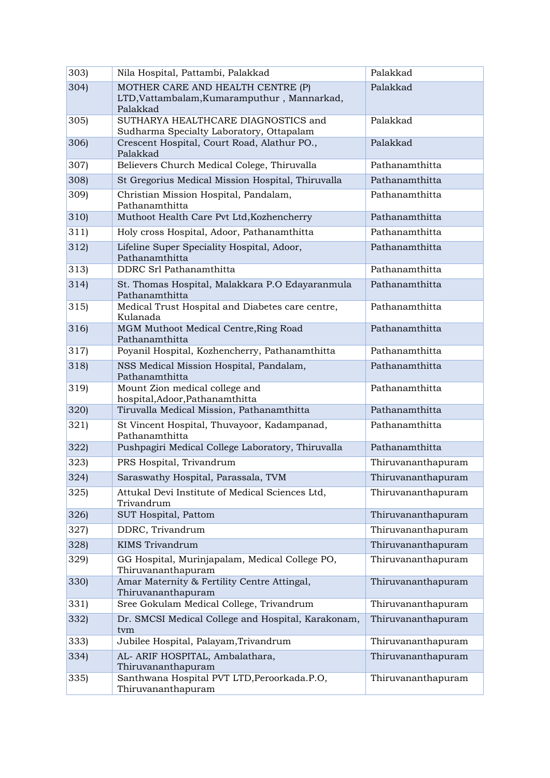| 303) | Nila Hospital, Pattambi, Palakkad                                                            | Palakkad           |
|------|----------------------------------------------------------------------------------------------|--------------------|
| 304) | MOTHER CARE AND HEALTH CENTRE (P)<br>LTD, Vattambalam, Kumaramputhur, Mannarkad,<br>Palakkad | Palakkad           |
| 305  | SUTHARYA HEALTHCARE DIAGNOSTICS and<br>Sudharma Specialty Laboratory, Ottapalam              | Palakkad           |
| 306  | Crescent Hospital, Court Road, Alathur PO.,<br>Palakkad                                      | Palakkad           |
| 307) | Believers Church Medical Colege, Thiruvalla                                                  | Pathanamthitta     |
| 308) | St Gregorius Medical Mission Hospital, Thiruvalla                                            | Pathanamthitta     |
| 309) | Christian Mission Hospital, Pandalam,<br>Pathanamthitta                                      | Pathanamthitta     |
| 310) | Muthoot Health Care Pvt Ltd, Kozhencherry                                                    | Pathanamthitta     |
| 311) | Holy cross Hospital, Adoor, Pathanamthitta                                                   | Pathanamthitta     |
| 312  | Lifeline Super Speciality Hospital, Adoor,<br>Pathanamthitta                                 | Pathanamthitta     |
| 313) | DDRC Srl Pathanamthitta                                                                      | Pathanamthitta     |
| 314) | St. Thomas Hospital, Malakkara P.O Edayaranmula<br>Pathanamthitta                            | Pathanamthitta     |
| 315  | Medical Trust Hospital and Diabetes care centre,<br>Kulanada                                 | Pathanamthitta     |
| 316) | MGM Muthoot Medical Centre, Ring Road<br>Pathanamthitta                                      | Pathanamthitta     |
| 317) | Poyanil Hospital, Kozhencherry, Pathanamthitta                                               | Pathanamthitta     |
| 318) | NSS Medical Mission Hospital, Pandalam,<br>Pathanamthitta                                    | Pathanamthitta     |
| 319) | Mount Zion medical college and<br>hospital, Adoor, Pathanamthitta                            | Pathanamthitta     |
| 320  | Tiruvalla Medical Mission, Pathanamthitta                                                    | Pathanamthitta     |
| 321) | St Vincent Hospital, Thuvayoor, Kadampanad,<br>Pathanamthitta                                | Pathanamthitta     |
| 322) | Pushpagiri Medical College Laboratory, Thiruvalla                                            | Pathanamthitta     |
| 323) | PRS Hospital, Trivandrum                                                                     | Thiruvananthapuram |
| 324) | Saraswathy Hospital, Parassala, TVM                                                          | Thiruvananthapuram |
| 325  | Attukal Devi Institute of Medical Sciences Ltd,<br>Trivandrum                                | Thiruvananthapuram |
| 326) | SUT Hospital, Pattom                                                                         | Thiruvananthapuram |
| 327) | DDRC, Trivandrum                                                                             | Thiruvananthapuram |
| 328) | <b>KIMS</b> Trivandrum                                                                       | Thiruvananthapuram |
| 329) | GG Hospital, Murinjapalam, Medical College PO,<br>Thiruvananthapuram                         | Thiruvananthapuram |
| 330) | Amar Maternity & Fertility Centre Attingal,<br>Thiruvananthapuram                            | Thiruvananthapuram |
| 331) | Sree Gokulam Medical College, Trivandrum                                                     | Thiruvananthapuram |
| 332) | Dr. SMCSI Medical College and Hospital, Karakonam,<br>tvm                                    | Thiruvananthapuram |
| 333) | Jubilee Hospital, Palayam, Trivandrum                                                        | Thiruvananthapuram |
| 334) | AL- ARIF HOSPITAL, Ambalathara,<br>Thiruvananthapuram                                        | Thiruvananthapuram |
| 335) | Santhwana Hospital PVT LTD, Peroorkada.P.O,<br>Thiruvananthapuram                            | Thiruvananthapuram |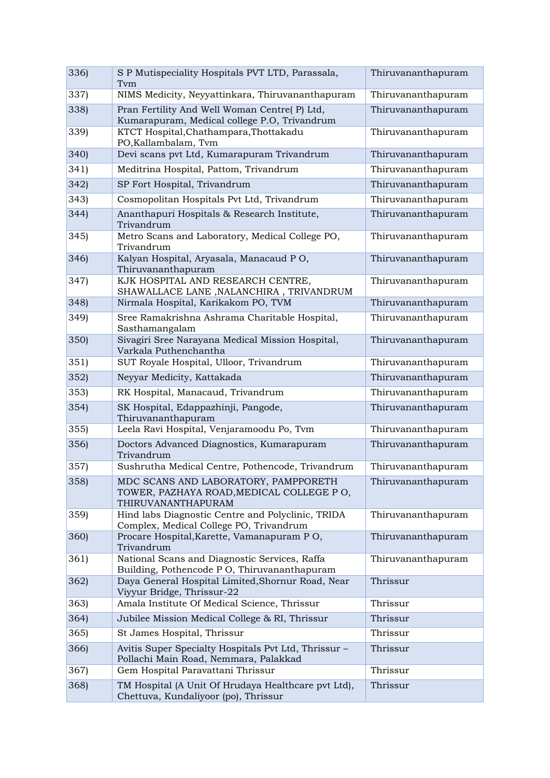| 336) | S P Mutispeciality Hospitals PVT LTD, Parassala,<br>Tym                                                | Thiruvananthapuram |
|------|--------------------------------------------------------------------------------------------------------|--------------------|
| 337) | NIMS Medicity, Neyyattinkara, Thiruvananthapuram                                                       | Thiruvananthapuram |
| 338) | Pran Fertility And Well Woman Centre(P) Ltd,<br>Kumarapuram, Medical college P.O, Trivandrum           | Thiruvananthapuram |
| 339) | KTCT Hospital, Chathampara, Thottakadu<br>PO, Kallambalam, Tvm                                         | Thiruvananthapuram |
| 340) | Devi scans pvt Ltd, Kumarapuram Trivandrum                                                             | Thiruvananthapuram |
| 341) | Meditrina Hospital, Pattom, Trivandrum                                                                 | Thiruvananthapuram |
| 342) | SP Fort Hospital, Trivandrum                                                                           | Thiruvananthapuram |
| 343) | Cosmopolitan Hospitals Pvt Ltd, Trivandrum                                                             | Thiruvananthapuram |
| 344) | Ananthapuri Hospitals & Research Institute,<br>Trivandrum                                              | Thiruvananthapuram |
| 345) | Metro Scans and Laboratory, Medical College PO,<br>Trivandrum                                          | Thiruvananthapuram |
| 346) | Kalyan Hospital, Aryasala, Manacaud PO,<br>Thiruvananthapuram                                          | Thiruvananthapuram |
| 347) | KJK HOSPITAL AND RESEARCH CENTRE,<br>SHAWALLACE LANE , NALANCHIRA, TRIVANDRUM                          | Thiruvananthapuram |
| 348) | Nirmala Hospital, Karikakom PO, TVM                                                                    | Thiruvananthapuram |
| 349) | Sree Ramakrishna Ashrama Charitable Hospital,<br>Sasthamangalam                                        | Thiruvananthapuram |
| 350) | Sivagiri Sree Narayana Medical Mission Hospital,<br>Varkala Puthenchantha                              | Thiruvananthapuram |
| 351) | SUT Royale Hospital, Ulloor, Trivandrum                                                                | Thiruvananthapuram |
| 352) | Neyyar Medicity, Kattakada                                                                             | Thiruvananthapuram |
| 353) | RK Hospital, Manacaud, Trivandrum                                                                      | Thiruvananthapuram |
| 354) | SK Hospital, Edappazhinji, Pangode,<br>Thiruvananthapuram                                              | Thiruvananthapuram |
| 355  | Leela Ravi Hospital, Venjaramoodu Po, Tvm                                                              | Thiruvananthapuram |
| 356) | Doctors Advanced Diagnostics, Kumarapuram<br>Trivandrum                                                | Thiruvananthapuram |
| 357) | Sushrutha Medical Centre, Pothencode, Trivandrum                                                       | Thiruvananthapuram |
| 358  | MDC SCANS AND LABORATORY, PAMPPORETH<br>TOWER, PAZHAYA ROAD, MEDICAL COLLEGE PO,<br>THIRUVANANTHAPURAM | Thiruvananthapuram |
| 359  | Hind labs Diagnostic Centre and Polyclinic, TRIDA<br>Complex, Medical College PO, Trivandrum           | Thiruvananthapuram |
| 360  | Procare Hospital, Karette, Vamanapuram PO,<br>Trivandrum                                               | Thiruvananthapuram |
| 361) | National Scans and Diagnostic Services, Raffa<br>Building, Pothencode P O, Thiruvananthapuram          | Thiruvananthapuram |
| 362) | Daya General Hospital Limited, Shornur Road, Near<br>Viyyur Bridge, Thrissur-22                        | Thrissur           |
| 363) | Amala Institute Of Medical Science, Thrissur                                                           | Thrissur           |
| 364) | Jubilee Mission Medical College & RI, Thrissur                                                         | Thrissur           |
| 365  | St James Hospital, Thrissur                                                                            | Thrissur           |
| 366) | Avitis Super Specialty Hospitals Pvt Ltd, Thrissur -<br>Pollachi Main Road, Nemmara, Palakkad          | Thrissur           |
| 367) | Gem Hospital Paravattani Thrissur                                                                      | Thrissur           |
| 368) | TM Hospital (A Unit Of Hrudaya Healthcare pvt Ltd),<br>Chettuva, Kundaliyoor (po), Thrissur            | Thrissur           |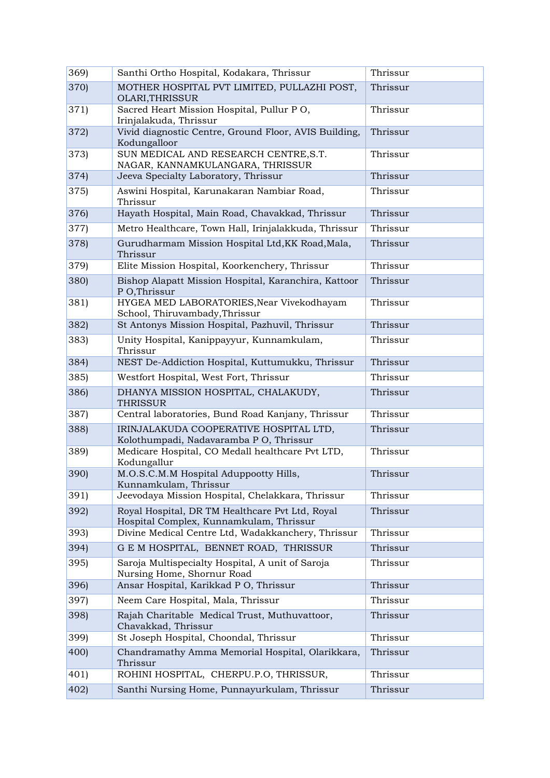| 369)  | Santhi Ortho Hospital, Kodakara, Thrissur                                                  | Thrissur |
|-------|--------------------------------------------------------------------------------------------|----------|
| 370)  | MOTHER HOSPITAL PVT LIMITED, PULLAZHI POST,<br>OLARI, THRISSUR                             | Thrissur |
| 371)  | Sacred Heart Mission Hospital, Pullur PO,<br>Irinjalakuda, Thrissur                        | Thrissur |
| 372)  | Vivid diagnostic Centre, Ground Floor, AVIS Building,<br>Kodungalloor                      | Thrissur |
| 373)  | SUN MEDICAL AND RESEARCH CENTRE, S.T.<br>NAGAR, KANNAMKULANGARA, THRISSUR                  | Thrissur |
| 374)  | Jeeva Specialty Laboratory, Thrissur                                                       | Thrissur |
| 375)  | Aswini Hospital, Karunakaran Nambiar Road,<br>Thrissur                                     | Thrissur |
| 376   | Hayath Hospital, Main Road, Chavakkad, Thrissur                                            | Thrissur |
| 377)  | Metro Healthcare, Town Hall, Irinjalakkuda, Thrissur                                       | Thrissur |
| 378)  | Gurudharmam Mission Hospital Ltd, KK Road, Mala,<br>Thrissur                               | Thrissur |
| 379)  | Elite Mission Hospital, Koorkenchery, Thrissur                                             | Thrissur |
| 380)  | Bishop Alapatt Mission Hospital, Karanchira, Kattoor<br>P O, Thrissur                      | Thrissur |
| 381)  | HYGEA MED LABORATORIES, Near Vivekodhayam<br>School, Thiruvambady, Thrissur                | Thrissur |
| 382)  | St Antonys Mission Hospital, Pazhuvil, Thrissur                                            | Thrissur |
| 383)  | Unity Hospital, Kanippayyur, Kunnamkulam,<br>Thrissur                                      | Thrissur |
| 384)  | NEST De-Addiction Hospital, Kuttumukku, Thrissur                                           | Thrissur |
| 385)  | Westfort Hospital, West Fort, Thrissur                                                     | Thrissur |
| 386)  | DHANYA MISSION HOSPITAL, CHALAKUDY,<br><b>THRISSUR</b>                                     | Thrissur |
| 387)  | Central laboratories, Bund Road Kanjany, Thrissur                                          | Thrissur |
| 388)  | IRINJALAKUDA COOPERATIVE HOSPITAL LTD,<br>Kolothumpadi, Nadavaramba P O, Thrissur          | Thrissur |
| 389)  | Medicare Hospital, CO Medall healthcare Pvt LTD,<br>Kodungallur                            | Thrissur |
| 390)  | M.O.S.C.M.M Hospital Aduppootty Hills,<br>Kunnamkulam, Thrissur                            | Thrissur |
| 391)  | Jeevodaya Mission Hospital, Chelakkara, Thrissur                                           | Thrissur |
| 392)  | Royal Hospital, DR TM Healthcare Pvt Ltd, Royal<br>Hospital Complex, Kunnamkulam, Thrissur | Thrissur |
| 393)  | Divine Medical Centre Ltd, Wadakkanchery, Thrissur                                         | Thrissur |
| 394)  | G E M HOSPITAL, BENNET ROAD, THRISSUR                                                      | Thrissur |
| 395   | Saroja Multispecialty Hospital, A unit of Saroja<br>Nursing Home, Shornur Road             | Thrissur |
| 396)  | Ansar Hospital, Karikkad P O, Thrissur                                                     | Thrissur |
| 397)  | Neem Care Hospital, Mala, Thrissur                                                         | Thrissur |
| 398)  | Rajah Charitable Medical Trust, Muthuvattoor,<br>Chavakkad, Thrissur                       | Thrissur |
| 399)  | St Joseph Hospital, Choondal, Thrissur                                                     | Thrissur |
| (400) | Chandramathy Amma Memorial Hospital, Olarikkara,<br>Thrissur                               | Thrissur |
| 401   | ROHINI HOSPITAL, CHERPU.P.O, THRISSUR,                                                     | Thrissur |
| 402   | Santhi Nursing Home, Punnayurkulam, Thrissur                                               | Thrissur |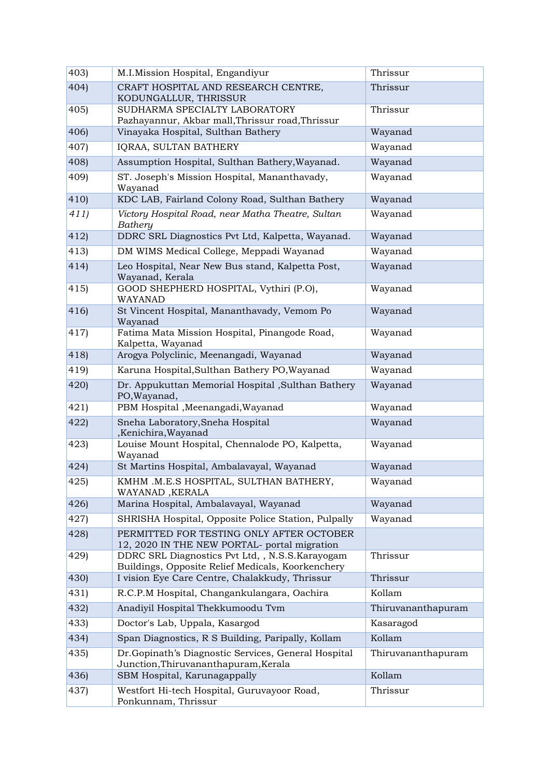| 403)          | M.I.Mission Hospital, Engandiyur                                                                     | Thrissur           |
|---------------|------------------------------------------------------------------------------------------------------|--------------------|
| 404)          | CRAFT HOSPITAL AND RESEARCH CENTRE,<br>KODUNGALLUR, THRISSUR                                         | Thrissur           |
| 405           | SUDHARMA SPECIALTY LABORATORY<br>Pazhayannur, Akbar mall, Thrissur road, Thrissur                    | Thrissur           |
| 406)          | Vinayaka Hospital, Sulthan Bathery                                                                   | Wayanad            |
| 407)          | IQRAA, SULTAN BATHERY                                                                                | Wayanad            |
| 408)          | Assumption Hospital, Sulthan Bathery, Wayanad.                                                       | Wayanad            |
| 409)          | ST. Joseph's Mission Hospital, Mananthavady,<br>Wayanad                                              | Wayanad            |
| (410)         | KDC LAB, Fairland Colony Road, Sulthan Bathery                                                       | Wayanad            |
| 411)          | Victory Hospital Road, near Matha Theatre, Sultan<br>Bathery                                         | Wayanad            |
| $ 412\rangle$ | DDRC SRL Diagnostics Pvt Ltd, Kalpetta, Wayanad.                                                     | Wayanad            |
| 413)          | DM WIMS Medical College, Meppadi Wayanad                                                             | Wayanad            |
| 414)          | Leo Hospital, Near New Bus stand, Kalpetta Post,<br>Wayanad, Kerala                                  | Wayanad            |
| 415           | GOOD SHEPHERD HOSPITAL, Vythiri (P.O),<br>WAYANAD                                                    | Wayanad            |
| 416           | St Vincent Hospital, Mananthavady, Vemom Po<br>Wayanad                                               | Wayanad            |
| 417)          | Fatima Mata Mission Hospital, Pinangode Road,<br>Kalpetta, Wayanad                                   | Wayanad            |
| 418)          | Arogya Polyclinic, Meenangadi, Wayanad                                                               | Wayanad            |
| 419)          | Karuna Hospital, Sulthan Bathery PO, Wayanad                                                         | Wayanad            |
| 420           | Dr. Appukuttan Memorial Hospital , Sulthan Bathery<br>PO, Wayanad,                                   | Wayanad            |
| 421)          | PBM Hospital , Meenangadi, Wayanad                                                                   | Wayanad            |
| 422           | Sneha Laboratory, Sneha Hospital<br>,Kenichira,Wayanad                                               | Wayanad            |
| 423)          | Louise Mount Hospital, Chennalode PO, Kalpetta,<br>Wayanad                                           | Wayanad            |
| 424           | St Martins Hospital, Ambalavayal, Wayanad                                                            | Wayanad            |
| 425           | KMHM .M.E.S HOSPITAL, SULTHAN BATHERY,<br>WAYANAD, KERALA                                            | Wayanad            |
| 426           | Marina Hospital, Ambalavayal, Wayanad                                                                | Wayanad            |
| 427           | SHRISHA Hospital, Opposite Police Station, Pulpally                                                  | Wayanad            |
| 428)          | PERMITTED FOR TESTING ONLY AFTER OCTOBER<br>12, 2020 IN THE NEW PORTAL- portal migration             |                    |
| 429)          | DDRC SRL Diagnostics Pvt Ltd, , N.S.S.Karayogam<br>Buildings, Opposite Relief Medicals, Koorkenchery | Thrissur           |
| (430)         | I vision Eye Care Centre, Chalakkudy, Thrissur                                                       | Thrissur           |
| 431           | R.C.P.M Hospital, Changankulangara, Oachira                                                          | Kollam             |
| (432)         | Anadiyil Hospital Thekkumoodu Tvm                                                                    | Thiruvananthapuram |
| 433           | Doctor's Lab, Uppala, Kasargod                                                                       | Kasaragod          |
| (434)         | Span Diagnostics, R S Building, Paripally, Kollam                                                    | Kollam             |
| 435           | Dr.Gopinath's Diagnostic Services, General Hospital<br>Junction, Thiruvananthapuram, Kerala          | Thiruvananthapuram |
| (436)         | SBM Hospital, Karunagappally                                                                         | Kollam             |
| 437)          | Westfort Hi-tech Hospital, Guruvayoor Road,<br>Ponkunnam, Thrissur                                   | Thrissur           |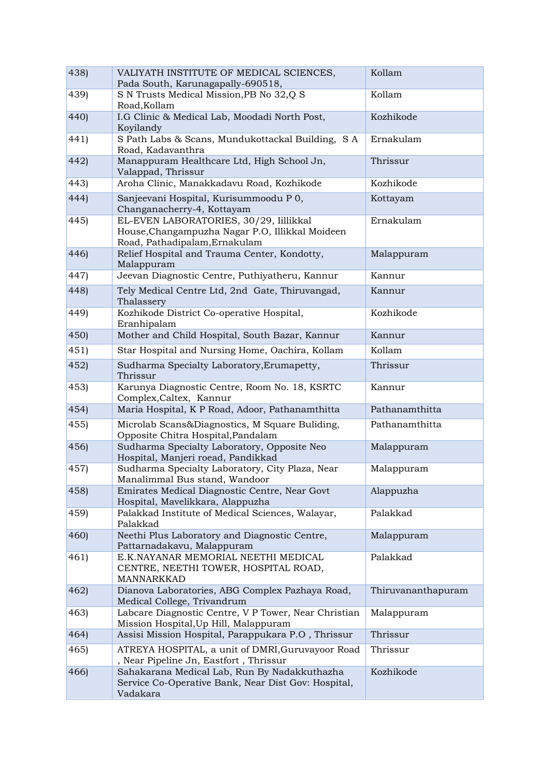| 438)  | VALIYATH INSTITUTE OF MEDICAL SCIENCES,<br>Pada South, Karunagapally-690518,                                               | Kollam             |
|-------|----------------------------------------------------------------------------------------------------------------------------|--------------------|
| 439)  | S N Trusts Medical Mission, PB No 32, Q S<br>Road, Kollam                                                                  | Kollam             |
| 440)  | I.G Clinic & Medical Lab, Moodadi North Post,<br>Koyilandy                                                                 | Kozhikode          |
| 441)  | S Path Labs & Scans, Mundukottackal Building, S A<br>Road, Kadavanthra                                                     | Ernakulam          |
| 442)  | Manappuram Healthcare Ltd, High School Jn,<br>Valappad, Thrissur                                                           | Thrissur           |
| 443)  | Aroha Clinic, Manakkadavu Road, Kozhikode                                                                                  | Kozhikode          |
| 444)  | Sanjeevani Hospital, Kurisummoodu P 0,<br>Changanacherry-4, Kottayam                                                       | Kottayam           |
| 445   | EL-EVEN LABORATORIES, 30/29, Iillikkal<br>House, Changampuzha Nagar P.O, Illikkal Moideen<br>Road, Pathadipalam, Ernakulam | Ernakulam          |
| (446) | Relief Hospital and Trauma Center, Kondotty,<br>Malappuram                                                                 | Malappuram         |
| 447)  | Jeevan Diagnostic Centre, Puthiyatheru, Kannur                                                                             | Kannur             |
| 448)  | Tely Medical Centre Ltd, 2nd Gate, Thiruvangad,<br>Thalassery                                                              | Kannur             |
| 449)  | Kozhikode District Co-operative Hospital,<br>Eranhipalam                                                                   | Kozhikode          |
| (450) | Mother and Child Hospital, South Bazar, Kannur                                                                             | Kannur             |
| 451)  | Star Hospital and Nursing Home, Oachira, Kollam                                                                            | Kollam             |
| 452)  | Sudharma Specialty Laboratory, Erumapetty,<br>Thrissur                                                                     | Thrissur           |
| (453) | Karunya Diagnostic Centre, Room No. 18, KSRTC<br>Complex, Caltex, Kannur                                                   | Kannur             |
| 454)  | Maria Hospital, K P Road, Adoor, Pathanamthitta                                                                            | Pathanamthitta     |
| 455   | Microlab Scans&Diagnostics, M Square Buliding,<br>Opposite Chitra Hospital, Pandalam                                       | Pathanamthitta     |
| 456   | Sudharma Specialty Laboratory, Opposite Neo<br>Hospital, Manjeri roead, Pandikkad                                          | Malappuram         |
| 457)  | Sudharma Specialty Laboratory, City Plaza, Near<br>Manalimmal Bus stand, Wandoor                                           | Malappuram         |
| 458   | Emirates Medical Diagnostic Centre, Near Govt<br>Hospital, Mavelikkara, Alappuzha                                          | Alappuzha          |
| 459)  | Palakkad Institute of Medical Sciences, Walayar,<br>Palakkad                                                               | Palakkad           |
| 460   | Neethi Plus Laboratory and Diagnostic Centre,<br>Pattarnadakavu, Malappuram                                                | Malappuram         |
| 461)  | E.K.NAYANAR MEMORIAL NEETHI MEDICAL<br>CENTRE, NEETHI TOWER, HOSPITAL ROAD,<br>MANNARKKAD                                  | Palakkad           |
| 462)  | Dianova Laboratories, ABG Complex Pazhaya Road,<br>Medical College, Trivandrum                                             | Thiruvananthapuram |
| 463)  | Labcare Diagnostic Centre, V P Tower, Near Christian<br>Mission Hospital, Up Hill, Malappuram                              | Malappuram         |
| 464)  | Assisi Mission Hospital, Parappukara P.O , Thrissur                                                                        | Thrissur           |
| 465   | ATREYA HOSPITAL, a unit of DMRI, Guruvayoor Road<br>, Near Pipeline Jn, Eastfort, Thrissur                                 | Thrissur           |
| 466)  | Sahakarana Medical Lab, Run By Nadakkuthazha<br>Service Co-Operative Bank, Near Dist Gov: Hospital,<br>Vadakara            | Kozhikode          |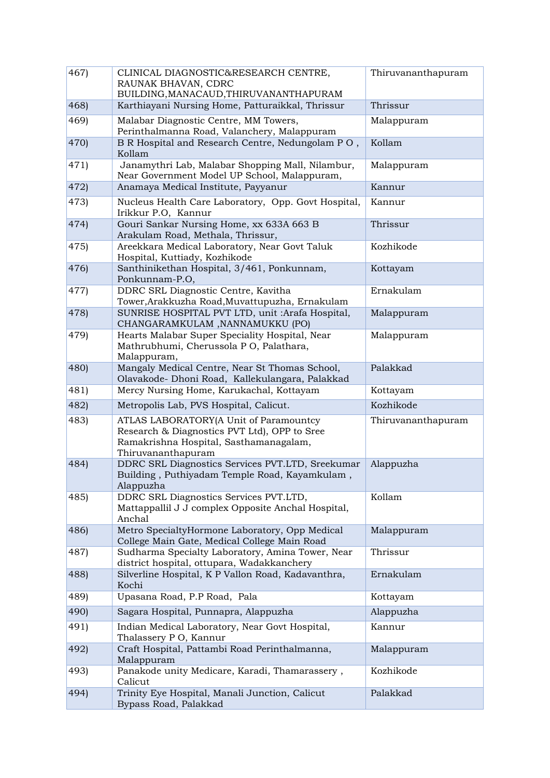| 467)  | CLINICAL DIAGNOSTIC&RESEARCH CENTRE,<br>RAUNAK BHAVAN, CDRC<br>BUILDING, MANACAUD, THIRUVANANTHAPURAM                                                  | Thiruvananthapuram |
|-------|--------------------------------------------------------------------------------------------------------------------------------------------------------|--------------------|
| 468)  | Karthiayani Nursing Home, Patturaikkal, Thrissur                                                                                                       | Thrissur           |
| 469)  | Malabar Diagnostic Centre, MM Towers,<br>Perinthalmanna Road, Valanchery, Malappuram                                                                   | Malappuram         |
| 470)  | B R Hospital and Research Centre, Nedungolam PO,<br>Kollam                                                                                             | Kollam             |
| 471)  | Janamythri Lab, Malabar Shopping Mall, Nilambur,<br>Near Government Model UP School, Malappuram,                                                       | Malappuram         |
| 472)  | Anamaya Medical Institute, Payyanur                                                                                                                    | Kannur             |
| 473)  | Nucleus Health Care Laboratory, Opp. Govt Hospital,<br>Irikkur P.O, Kannur                                                                             | Kannur             |
| (474) | Gouri Sankar Nursing Home, xx 633A 663 B<br>Arakulam Road, Methala, Thrissur,                                                                          | Thrissur           |
| 475)  | Areekkara Medical Laboratory, Near Govt Taluk<br>Hospital, Kuttiady, Kozhikode                                                                         | Kozhikode          |
| 476)  | Santhinikethan Hospital, 3/461, Ponkunnam,<br>Ponkunnam-P.O,                                                                                           | Kottayam           |
| 477)  | DDRC SRL Diagnostic Centre, Kavitha<br>Tower, Arakkuzha Road, Muvattupuzha, Ernakulam                                                                  | Ernakulam          |
| 478)  | SUNRISE HOSPITAL PVT LTD, unit :Arafa Hospital,<br>CHANGARAMKULAM, NANNAMUKKU (PO)                                                                     | Malappuram         |
| 479)  | Hearts Malabar Super Speciality Hospital, Near<br>Mathrubhumi, Cherussola PO, Palathara,<br>Malappuram,                                                | Malappuram         |
| 480)  | Mangaly Medical Centre, Near St Thomas School,<br>Olavakode- Dhoni Road, Kallekulangara, Palakkad                                                      | Palakkad           |
| 481)  | Mercy Nursing Home, Karukachal, Kottayam                                                                                                               | Kottayam           |
| 482)  | Metropolis Lab, PVS Hospital, Calicut.                                                                                                                 | Kozhikode          |
| 483)  | ATLAS LABORATORY(A Unit of Paramountcy<br>Research & Diagnostics PVT Ltd), OPP to Sree<br>Ramakrishna Hospital, Sasthamanagalam,<br>Thiruvananthapuram | Thiruvananthapuram |
| 484   | DDRC SRL Diagnostics Services PVT.LTD, Sreekumar<br>Building, Puthiyadam Temple Road, Kayamkulam,<br>Alappuzha                                         | Alappuzha          |
| 485   | DDRC SRL Diagnostics Services PVT.LTD,<br>Mattappallil J J complex Opposite Anchal Hospital,<br>Anchal                                                 | Kollam             |
| 486)  | Metro SpecialtyHormone Laboratory, Opp Medical<br>College Main Gate, Medical College Main Road                                                         | Malappuram         |
| 487)  | Sudharma Specialty Laboratory, Amina Tower, Near<br>district hospital, ottupara, Wadakkanchery                                                         | Thrissur           |
| 488)  | Silverline Hospital, K P Vallon Road, Kadavanthra,<br>Kochi                                                                                            | Ernakulam          |
| 489)  | Upasana Road, P.P Road, Pala                                                                                                                           | Kottayam           |
| 490)  | Sagara Hospital, Punnapra, Alappuzha                                                                                                                   | Alappuzha          |
| 491)  | Indian Medical Laboratory, Near Govt Hospital,<br>Thalassery P O, Kannur                                                                               | Kannur             |
| 492)  | Craft Hospital, Pattambi Road Perinthalmanna,<br>Malappuram                                                                                            | Malappuram         |
| 493)  | Panakode unity Medicare, Karadi, Thamarassery,<br>Calicut                                                                                              | Kozhikode          |
| 494)  | Trinity Eye Hospital, Manali Junction, Calicut<br>Bypass Road, Palakkad                                                                                | Palakkad           |